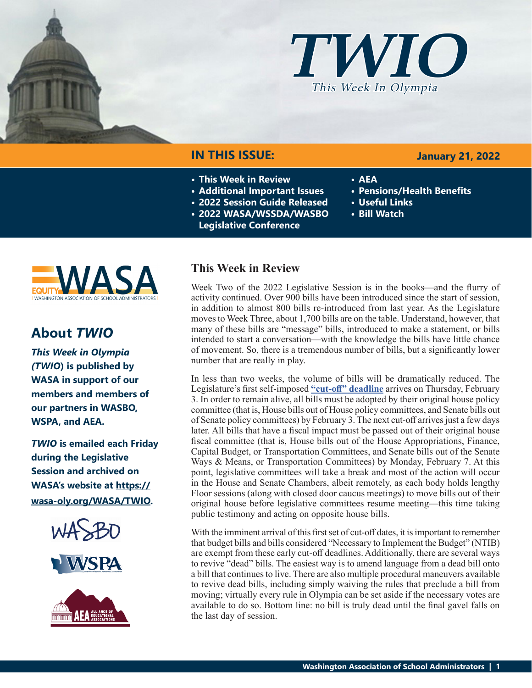



# **IN THIS ISSUE:**

- **• This Week in Review**
- **• Additional Important Issues**
- **• 2022 Session Guide Released**
- **• 2022 WASA/WSSDA/WASBO** 
	- **Legislative Conference**



- **• AEA**
- **• Pensions/Health Benefits**
- **• Useful Links**
- **• Bill Watch**



# **About** *TWIO*

*This Week in Olympia (TWIO***) is published by WASA in support of our members and members of our partners in WASBO, WSPA, and AEA.**

*TWIO* **is emailed each Friday during the Legislative Session and archived on WASA's website at https:// wasa-oly.org/WASA/TWIO.** 





# **This Week in Review**

Week Two of the 2022 Legislative Session is in the books—and the flurry of activity continued. Over 900 bills have been introduced since the start of session, in addition to almost 800 bills re-introduced from last year. As the Legislature moves to Week Three, about 1,700 bills are on the table. Understand, however, that many of these bills are "message" bills, introduced to make a statement, or bills intended to start a conversation—with the knowledge the bills have little chance of movement. So, there is a tremendous number of bills, but a significantly lower number that are really in play.

In less than two weeks, the volume of bills will be dramatically reduced. The Legislature's first self-imposed **["cut-off" deadline](https://leg.wa.gov/legislature/Pages/cutoff.aspx)** arrives on Thursday, February 3. In order to remain alive, all bills must be adopted by their original house policy committee (that is, House bills out of House policy committees, and Senate bills out of Senate policy committees) by February 3. The next cut-off arrives just a few days later. All bills that have a fiscal impact must be passed out of their original house fiscal committee (that is, House bills out of the House Appropriations, Finance, Capital Budget, or Transportation Committees, and Senate bills out of the Senate Ways & Means, or Transportation Committees) by Monday, February 7. At this point, legislative committees will take a break and most of the action will occur in the House and Senate Chambers, albeit remotely, as each body holds lengthy Floor sessions (along with closed door caucus meetings) to move bills out of their original house before legislative committees resume meeting—this time taking public testimony and acting on opposite house bills.

With the imminent arrival of this first set of cut-off dates, it is important to remember that budget bills and bills considered "Necessary to Implement the Budget" (NTIB) are exempt from these early cut-off deadlines. Additionally, there are several ways to revive "dead" bills. The easiest way is to amend language from a dead bill onto a bill that continues to live. There are also multiple procedural maneuvers available to revive dead bills, including simply waiving the rules that preclude a bill from moving; virtually every rule in Olympia can be set aside if the necessary votes are available to do so. Bottom line: no bill is truly dead until the final gavel falls on the last day of session.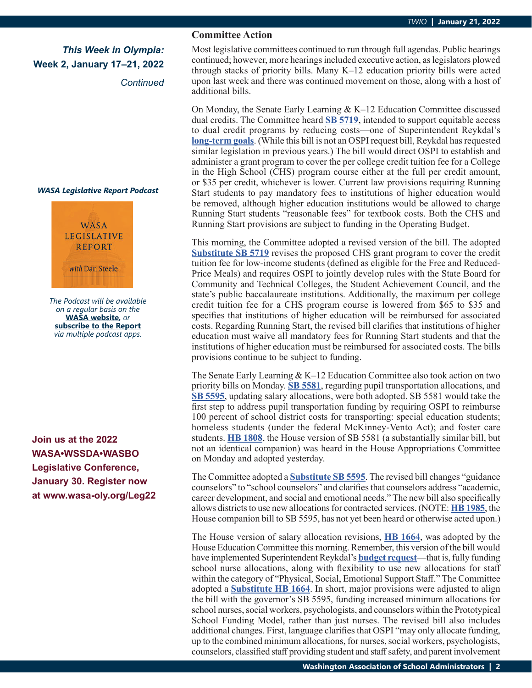*Continued*

### *WASA Legislative Report Podcast*



*The Podcast will be available on a regular basis on the*  **WASA website***, or* **subscribe to the Report** *via multiple podcast apps.*

**Join us at the 2022 WASA•WSSDA•WASBO Legislative Conference, January 30. Register now at www.wasa-oly.org/Leg22**

### **Committee Action**

Most legislative committees continued to run through full agendas. Public hearings continued; however, more hearings included executive action, as legislators plowed through stacks of priority bills. Many K–12 education priority bills were acted upon last week and there was continued movement on those, along with a host of additional bills.

On Monday, the Senate Early Learning & K–12 Education Committee discussed dual credits. The Committee heard **[SB 5719](https://app.leg.wa.gov/billsummary?BillNumber=5719&Year=2021&Initiative=false)**, intended to support equitable access to dual credit programs by reducing costs—one of Superintendent Reykdal's **[long-term goals](https://www.k12.wa.us/sites/default/files/public/communications/OSPI Strategic Goals.pdf)**. (While this bill is not an OSPI request bill, Reykdal has requested similar legislation in previous years.) The bill would direct OSPI to establish and administer a grant program to cover the per college credit tuition fee for a College in the High School (CHS) program course either at the full per credit amount, or \$35 per credit, whichever is lower. Current law provisions requiring Running Start students to pay mandatory fees to institutions of higher education would be removed, although higher education institutions would be allowed to charge Running Start students "reasonable fees" for textbook costs. Both the CHS and Running Start provisions are subject to funding in the Operating Budget.

This morning, the Committee adopted a revised version of the bill. The adopted **[Substitute SB 5719](https://app.leg.wa.gov/committeeschedules/Home/Document/238479#toolbar=0&navpanes=0)** revises the proposed CHS grant program to cover the credit tuition fee for low-income students (defined as eligible for the Free and Reduced-Price Meals) and requires OSPI to jointly develop rules with the State Board for Community and Technical Colleges, the Student Achievement Council, and the state's public baccalaureate institutions. Additionally, the maximum per college credit tuition fee for a CHS program course is lowered from \$65 to \$35 and specifies that institutions of higher education will be reimbursed for associated costs. Regarding Running Start, the revised bill clarifies that institutions of higher education must waive all mandatory fees for Running Start students and that the institutions of higher education must be reimbursed for associated costs. The bills provisions continue to be subject to funding.

The Senate Early Learning  $& K-12$  Education Committee also took action on two priority bills on Monday. **[SB 5581](https://app.leg.wa.gov/billsummary?BillNumber=5581&Initiative=false&Year=2021)**, regarding pupil transportation allocations, and **[SB 5595](https://app.leg.wa.gov/billsummary?BillNumber=5595&Initiative=false&Year=2021)**, updating salary allocations, were both adopted. SB 5581 would take the first step to address pupil transportation funding by requiring OSPI to reimburse 100 percent of school district costs for transporting: special education students; homeless students (under the federal McKinney-Vento Act); and foster care students. **[HB 1808](https://app.leg.wa.gov/billsummary?BillNumber=1808&Initiative=false&Year=2021)**, the House version of SB 5581 (a substantially similar bill, but not an identical companion) was heard in the House Appropriations Committee on Monday and adopted yesterday.

The Committee adopted a **[Substitute SB 5595](https://app.leg.wa.gov/committeeschedules/Home/Document/237592#toolbar=0&navpanes=0)**. The revised bill changes "guidance counselors" to "school counselors" and clarifies that counselors address "academic, career development, and social and emotional needs." The new bill also specifically allows districts to use new allocations for contracted services. (NOTE: **[HB 1985](https://app.leg.wa.gov/billsummary?BillNumber=1985&Initiative=false&Year=2021)**, the House companion bill to SB 5595, has not yet been heard or otherwise acted upon.)

The House version of salary allocation revisions, **[HB 1664](https://app.leg.wa.gov/billsummary?BillNumber=1664&Initiative=false&Year=2021)**, was adopted by the House Education Committee this morning. Remember, this version of the bill would have implemented Superintendent Reykdal's **[budget request](https://www.k12.wa.us/sites/default/files/public/communications/2021docs/P4-Equitable-and-Sufficient-Access-to-Physical-Social-and-Emotional-Support-Staff.pdf)**—that is, fully funding school nurse allocations, along with flexibility to use new allocations for staff within the category of "Physical, Social, Emotional Support Staff." The Committee adopted a **[Substitute HB 1664](https://app.leg.wa.gov/committeeschedules/Home/Document/238539#toolbar=0&navpanes=0)**. In short, major provisions were adjusted to align the bill with the governor's SB 5595, funding increased minimum allocations for school nurses, social workers, psychologists, and counselors within the Prototypical School Funding Model, rather than just nurses. The revised bill also includes additional changes. First, language clarifies that OSPI "may only allocate funding, up to the combined minimum allocations, for nurses, social workers, psychologists, counselors, classified staff providing student and staff safety, and parent involvement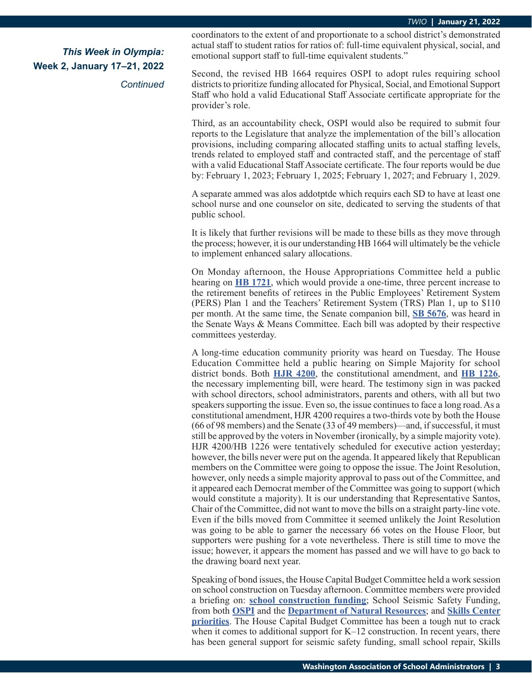*Continued*

coordinators to the extent of and proportionate to a school district's demonstrated actual staff to student ratios for ratios of: full-time equivalent physical, social, and emotional support staff to full-time equivalent students."

Second, the revised HB 1664 requires OSPI to adopt rules requiring school districts to prioritize funding allocated for Physical, Social, and Emotional Support Staff who hold a valid Educational Staff Associate certificate appropriate for the provider's role.

Third, as an accountability check, OSPI would also be required to submit four reports to the Legislature that analyze the implementation of the bill's allocation provisions, including comparing allocated staffing units to actual staffing levels, trends related to employed staff and contracted staff, and the percentage of staff with a valid Educational Staff Associate certificate. The four reports would be due by: February 1, 2023; February 1, 2025; February 1, 2027; and February 1, 2029.

A separate ammed was alos addotptde which requirs each SD to have at least one school nurse and one counselor on site, dedicated to serving the students of that public school.

It is likely that further revisions will be made to these bills as they move through the process; however, it is our understanding HB 1664 will ultimately be the vehicle to implement enhanced salary allocations.

On Monday afternoon, the House Appropriations Committee held a public hearing on **[HB 1721](https://app.leg.wa.gov/billsummary?BillNumber=1721&Initiative=false&Year=2021)**, which would provide a one-time, three percent increase to the retirement benefits of retirees in the Public Employees' Retirement System (PERS) Plan 1 and the Teachers' Retirement System (TRS) Plan 1, up to \$110 per month. At the same time, the Senate companion bill, **[SB 5676](https://app.leg.wa.gov/billsummary?BillNumber=5676&Initiative=false&Year=2021)**, was heard in the Senate Ways & Means Committee. Each bill was adopted by their respective committees yesterday.

A long-time education community priority was heard on Tuesday. The House Education Committee held a public hearing on Simple Majority for school district bonds. Both **[HJR 4200](https://app.leg.wa.gov/billsummary?BillNumber=4200&Initiative=false&Year=2021)**, the constitutional amendment, and **[HB 1226](https://app.leg.wa.gov/billsummary?BillNumber=1226&Initiative=false&Year=2021)**, the necessary implementing bill, were heard. The testimony sign in was packed with school directors, school administrators, parents and others, with all but two speakers supporting the issue. Even so, the issue continues to face a long road. As a constitutional amendment, HJR 4200 requires a two-thirds vote by both the House (66 of 98 members) and the Senate (33 of 49 members)—and, if successful, it must still be approved by the voters in November (ironically, by a simple majority vote). HJR 4200/HB 1226 were tentatively scheduled for executive action yesterday; however, the bills never were put on the agenda. It appeared likely that Republican members on the Committee were going to oppose the issue. The Joint Resolution, however, only needs a simple majority approval to pass out of the Committee, and it appeared each Democrat member of the Committee was going to support (which would constitute a majority). It is our understanding that Representative Santos, Chair of the Committee, did not want to move the bills on a straight party-line vote. Even if the bills moved from Committee it seemed unlikely the Joint Resolution was going to be able to garner the necessary 66 votes on the House Floor, but supporters were pushing for a vote nevertheless. There is still time to move the issue; however, it appears the moment has passed and we will have to go back to the drawing board next year.

Speaking of bond issues, the House Capital Budget Committee held a work session on school construction on Tuesday afternoon. Committee members were provided a briefing on: **[school construction funding](https://app.leg.wa.gov/committeeschedules/Home/Document/237753#toolbar=0&navpanes=0)**; School Seismic Safety Funding, from both **[OSPI](https://app.leg.wa.gov/committeeschedules/Home/Document/237758#toolbar=0&navpanes=0)** and the **[Department of Natural Resources](https://app.leg.wa.gov/committeeschedules/Home/Document/237759#toolbar=0&navpanes=0)**; and **[Skills Center](https://app.leg.wa.gov/committeeschedules/Home/Document/237760#toolbar=0&navpanes=0)  [priorities](https://app.leg.wa.gov/committeeschedules/Home/Document/237760#toolbar=0&navpanes=0)**. The House Capital Budget Committee has been a tough nut to crack when it comes to additional support for K–12 construction. In recent years, there has been general support for seismic safety funding, small school repair, Skills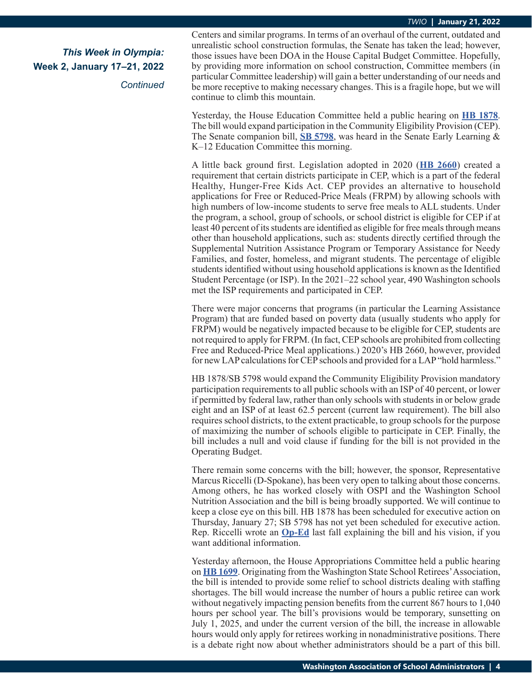*Continued*

Centers and similar programs. In terms of an overhaul of the current, outdated and unrealistic school construction formulas, the Senate has taken the lead; however, those issues have been DOA in the House Capital Budget Committee. Hopefully, by providing more information on school construction, Committee members (in particular Committee leadership) will gain a better understanding of our needs and be more receptive to making necessary changes. This is a fragile hope, but we will continue to climb this mountain.

Yesterday, the House Education Committee held a public hearing on **[HB 1878](https://app.leg.wa.gov/billsummary?BillNumber=1878&Initiative=false&Year=2021)**. The bill would expand participation in the Community Eligibility Provision (CEP). The Senate companion bill, **[SB 5798](https://app.leg.wa.gov/billsummary?BillNumber=5798&Initiative=false&Year=2021)**, was heard in the Senate Early Learning & K–12 Education Committee this morning.

A little back ground first. Legislation adopted in 2020 (**[HB 2660](https://app.leg.wa.gov/billsummary?BillNumber=2660&Year=2019&Initiative=false)**) created a requirement that certain districts participate in CEP, which is a part of the federal Healthy, Hunger-Free Kids Act. CEP provides an alternative to household applications for Free or Reduced-Price Meals (FRPM) by allowing schools with high numbers of low-income students to serve free meals to ALL students. Under the program, a school, group of schools, or school district is eligible for CEP if at least 40 percent of its students are identified as eligible for free meals through means other than household applications, such as: students directly certified through the Supplemental Nutrition Assistance Program or Temporary Assistance for Needy Families, and foster, homeless, and migrant students. The percentage of eligible students identified without using household applications is known as the Identified Student Percentage (or ISP). In the 2021–22 school year, 490 Washington schools met the ISP requirements and participated in CEP.

There were major concerns that programs (in particular the Learning Assistance Program) that are funded based on poverty data (usually students who apply for FRPM) would be negatively impacted because to be eligible for CEP, students are not required to apply for FRPM. (In fact, CEP schools are prohibited from collecting Free and Reduced-Price Meal applications.) 2020's HB 2660, however, provided for new LAP calculations for CEP schools and provided for a LAP "hold harmless."

HB 1878/SB 5798 would expand the Community Eligibility Provision mandatory participation requirements to all public schools with an ISP of 40 percent, or lower if permitted by federal law, rather than only schools with students in or below grade eight and an ISP of at least 62.5 percent (current law requirement). The bill also requires school districts, to the extent practicable, to group schools for the purpose of maximizing the number of schools eligible to participate in CEP. Finally, the bill includes a null and void clause if funding for the bill is not provided in the Operating Budget.

There remain some concerns with the bill; however, the sponsor, Representative Marcus Riccelli (D-Spokane), has been very open to talking about those concerns. Among others, he has worked closely with OSPI and the Washington School Nutrition Association and the bill is being broadly supported. We will continue to keep a close eye on this bill. HB 1878 has been scheduled for executive action on Thursday, January 27; SB 5798 has not yet been scheduled for executive action. Rep. Riccelli wrote an **[Op-Ed](https://www.spokesman.com/stories/2021/oct/24/rep-marcus-riccelli-we-can-end-childhood-hunger-an/?fbclid=IwAR1F8PEWckbFG3prL9HyFvj55qhMCJorq2cBUF0nRTiTLDp5PCVfTpUiuwM)** last fall explaining the bill and his vision, if you want additional information.

Yesterday afternoon, the House Appropriations Committee held a public hearing on **[HB 1699](https://app.leg.wa.gov/billsummary?BillNumber=1699&Initiative=false&Year=2021)**. Originating from the Washington State School Retirees' Association, the bill is intended to provide some relief to school districts dealing with staffing shortages. The bill would increase the number of hours a public retiree can work without negatively impacting pension benefits from the current 867 hours to 1,040 hours per school year. The bill's provisions would be temporary, sunsetting on July 1, 2025, and under the current version of the bill, the increase in allowable hours would only apply for retirees working in nonadministrative positions. There is a debate right now about whether administrators should be a part of this bill.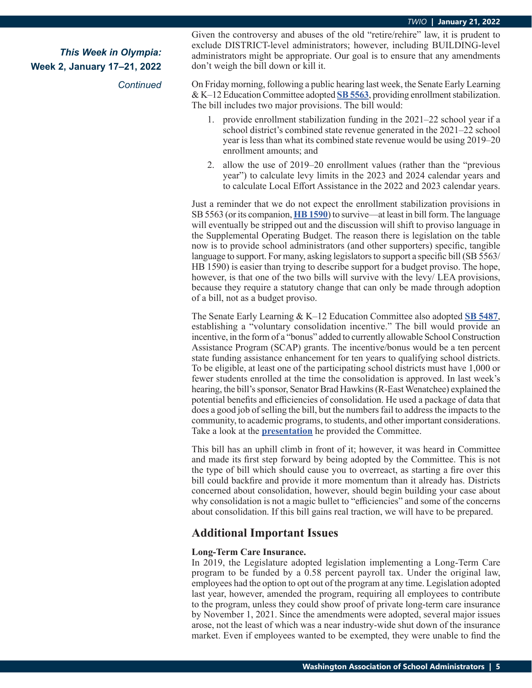*Continued*

Given the controversy and abuses of the old "retire/rehire" law, it is prudent to exclude DISTRICT-level administrators; however, including BUILDING-level administrators might be appropriate. Our goal is to ensure that any amendments don't weigh the bill down or kill it.

On Friday morning, following a public hearing last week, the Senate Early Learning & K–12 Education Committee adopted **[SB 5563](https://app.leg.wa.gov/billsummary?BillNumber=5563&Initiative=false&Year=2021)**, providing enrollment stabilization. The bill includes two major provisions. The bill would:

- 1. provide enrollment stabilization funding in the 2021–22 school year if a school district's combined state revenue generated in the 2021–22 school year is less than what its combined state revenue would be using 2019–20 enrollment amounts; and
- 2. allow the use of 2019–20 enrollment values (rather than the "previous year") to calculate levy limits in the 2023 and 2024 calendar years and to calculate Local Effort Assistance in the 2022 and 2023 calendar years.

Just a reminder that we do not expect the enrollment stabilization provisions in SB 5563 (or its companion, **[HB 1590](https://app.leg.wa.gov/billsummary?BillNumber=1590&Initiative=false&Year=2021)**) to survive—at least in bill form. The language will eventually be stripped out and the discussion will shift to proviso language in the Supplemental Operating Budget. The reason there is legislation on the table now is to provide school administrators (and other supporters) specific, tangible language to support. For many, asking legislators to support a specific bill (SB 5563/ HB 1590) is easier than trying to describe support for a budget proviso. The hope, however, is that one of the two bills will survive with the levy/ LEA provisions, because they require a statutory change that can only be made through adoption of a bill, not as a budget proviso.

The Senate Early Learning & K–12 Education Committee also adopted **[SB 5487](https://app.leg.wa.gov/billsummary?BillNumber=5487&Initiative=false&Year=2021)**, establishing a "voluntary consolidation incentive." The bill would provide an incentive, in the form of a "bonus" added to currently allowable School Construction Assistance Program (SCAP) grants. The incentive/bonus would be a ten percent state funding assistance enhancement for ten years to qualifying school districts. To be eligible, at least one of the participating school districts must have 1,000 or fewer students enrolled at the time the consolidation is approved. In last week's hearing, the bill's sponsor, Senator Brad Hawkins (R-East Wenatchee) explained the potential benefits and efficiencies of consolidation. He used a package of data that does a good job of selling the bill, but the numbers fail to address the impacts to the community, to academic programs, to students, and other important considerations. Take a look at the **[presentation](https://app.leg.wa.gov/committeeschedules/Home/Document/237408#toolbar=0&navpanes=0)** he provided the Committee.

This bill has an uphill climb in front of it; however, it was heard in Committee and made its first step forward by being adopted by the Committee. This is not the type of bill which should cause you to overreact, as starting a fire over this bill could backfire and provide it more momentum than it already has. Districts concerned about consolidation, however, should begin building your case about why consolidation is not a magic bullet to "efficiencies" and some of the concerns about consolidation. If this bill gains real traction, we will have to be prepared.

## **Additional Important Issues**

### **Long-Term Care Insurance.**

In 2019, the Legislature adopted legislation implementing a Long-Term Care program to be funded by a 0.58 percent payroll tax. Under the original law, employees had the option to opt out of the program at any time. Legislation adopted last year, however, amended the program, requiring all employees to contribute to the program, unless they could show proof of private long-term care insurance by November 1, 2021. Since the amendments were adopted, several major issues arose, not the least of which was a near industry-wide shut down of the insurance market. Even if employees wanted to be exempted, they were unable to find the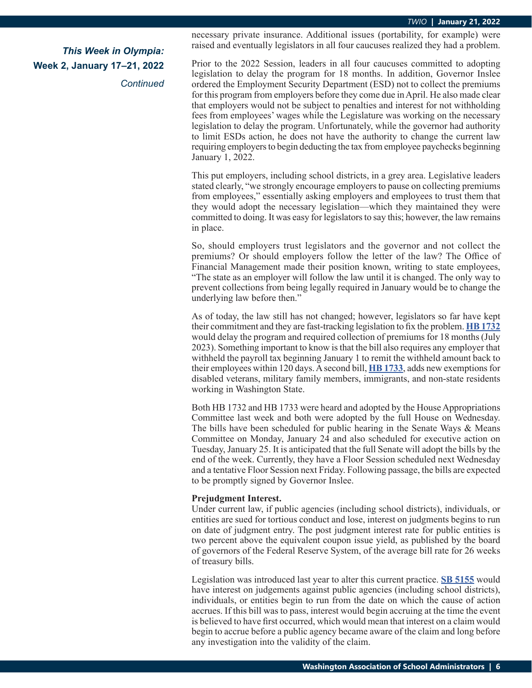*Continued*

necessary private insurance. Additional issues (portability, for example) were raised and eventually legislators in all four caucuses realized they had a problem.

Prior to the 2022 Session, leaders in all four caucuses committed to adopting legislation to delay the program for 18 months. In addition, Governor Inslee ordered the Employment Security Department (ESD) not to collect the premiums for this program from employers before they come due in April. He also made clear that employers would not be subject to penalties and interest for not withholding fees from employees' wages while the Legislature was working on the necessary legislation to delay the program. Unfortunately, while the governor had authority to limit ESDs action, he does not have the authority to change the current law requiring employers to begin deducting the tax from employee paychecks beginning January 1, 2022.

This put employers, including school districts, in a grey area. Legislative leaders stated clearly, "we strongly encourage employers to pause on collecting premiums from employees," essentially asking employers and employees to trust them that they would adopt the necessary legislation—which they maintained they were committed to doing. It was easy for legislators to say this; however, the law remains in place.

So, should employers trust legislators and the governor and not collect the premiums? Or should employers follow the letter of the law? The Office of Financial Management made their position known, writing to state employees, "The state as an employer will follow the law until it is changed. The only way to prevent collections from being legally required in January would be to change the underlying law before then."

As of today, the law still has not changed; however, legislators so far have kept their commitment and they are fast-tracking legislation to fix the problem. **[HB 1732](https://app.leg.wa.gov/billsummary?BillNumber=1732&Initiative=false&Year=2021)** would delay the program and required collection of premiums for 18 months (July 2023). Something important to know is that the bill also requires any employer that withheld the payroll tax beginning January 1 to remit the withheld amount back to their employees within 120 days. A second bill, **[HB 1733](https://app.leg.wa.gov/billsummary?BillNumber=1733&Initiative=false&Year=2021)**, adds new exemptions for disabled veterans, military family members, immigrants, and non-state residents working in Washington State.

Both HB 1732 and HB 1733 were heard and adopted by the House Appropriations Committee last week and both were adopted by the full House on Wednesday. The bills have been scheduled for public hearing in the Senate Ways & Means Committee on Monday, January 24 and also scheduled for executive action on Tuesday, January 25. It is anticipated that the full Senate will adopt the bills by the end of the week. Currently, they have a Floor Session scheduled next Wednesday and a tentative Floor Session next Friday. Following passage, the bills are expected to be promptly signed by Governor Inslee.

### **Prejudgment Interest.**

Under current law, if public agencies (including school districts), individuals, or entities are sued for tortious conduct and lose, interest on judgments begins to run on date of judgment entry. The post judgment interest rate for public entities is two percent above the equivalent coupon issue yield, as published by the board of governors of the Federal Reserve System, of the average bill rate for 26 weeks of treasury bills.

Legislation was introduced last year to alter this current practice. **[SB 5155](https://app.leg.wa.gov/billsummary?BillNumber=5155&Initiative=false&Year=2021)** would have interest on judgements against public agencies (including school districts), individuals, or entities begin to run from the date on which the cause of action accrues. If this bill was to pass, interest would begin accruing at the time the event is believed to have first occurred, which would mean that interest on a claim would begin to accrue before a public agency became aware of the claim and long before any investigation into the validity of the claim.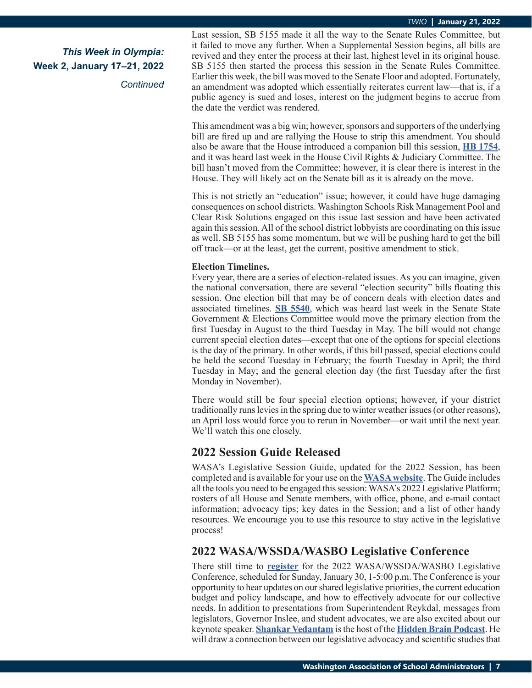*Continued*

Last session, SB 5155 made it all the way to the Senate Rules Committee, but it failed to move any further. When a Supplemental Session begins, all bills are revived and they enter the process at their last, highest level in its original house. SB 5155 then started the process this session in the Senate Rules Committee. Earlier this week, the bill was moved to the Senate Floor and adopted. Fortunately, an amendment was adopted which essentially reiterates current law—that is, if a public agency is sued and loses, interest on the judgment begins to accrue from the date the verdict was rendered.

This amendment was a big win; however, sponsors and supporters of the underlying bill are fired up and are rallying the House to strip this amendment. You should also be aware that the House introduced a companion bill this session, **[HB 1754](https://app.leg.wa.gov/billsummary?BillNumber=1754&Initiative=false&Year=2021)**, and it was heard last week in the House Civil Rights & Judiciary Committee. The bill hasn't moved from the Committee; however, it is clear there is interest in the House. They will likely act on the Senate bill as it is already on the move.

This is not strictly an "education" issue; however, it could have huge damaging consequences on school districts. Washington Schools Risk Management Pool and Clear Risk Solutions engaged on this issue last session and have been activated again this session. All of the school district lobbyists are coordinating on this issue as well. SB 5155 has some momentum, but we will be pushing hard to get the bill off track—or at the least, get the current, positive amendment to stick.

### **Election Timelines.**

Every year, there are a series of election-related issues. As you can imagine, given the national conversation, there are several "election security" bills floating this session. One election bill that may be of concern deals with election dates and associated timelines. **[SB 5540](https://app.leg.wa.gov/billsummary?BillNumber=5540&Initiative=false&Year=2021)**, which was heard last week in the Senate State Government & Elections Committee would move the primary election from the first Tuesday in August to the third Tuesday in May. The bill would not change current special election dates—except that one of the options for special elections is the day of the primary. In other words, if this bill passed, special elections could be held the second Tuesday in February; the fourth Tuesday in April; the third Tuesday in May; and the general election day (the first Tuesday after the first Monday in November).

There would still be four special election options; however, if your district traditionally runs levies in the spring due to winter weather issues (or other reasons), an April loss would force you to rerun in November—or wait until the next year. We'll watch this one closely.

## **2022 Session Guide Released**

WASA's Legislative Session Guide, updated for the 2022 Session, has been completed and is available for your use on the **[WASA website](https://wasa-oly.org/WASA/images/WASA/4.0 Government Relations/4.4.2 Session Guide/Download_Files/2022WASA_SessionGuide.pdf)**. The Guide includes all the tools you need to be engaged this session: WASA's 2022 Legislative Platform; rosters of all House and Senate members, with office, phone, and e-mail contact information; advocacy tips; key dates in the Session; and a list of other handy resources. We encourage you to use this resource to stay active in the legislative process!

## **2022 WASA/WSSDA/WASBO Legislative Conference**

There still time to **[register](https://wasa-oly.org/WASA/WASA/5_0_Professional_Development/Events/Event_Display.aspx?WebsiteKey=7CD320FE-E548-4BD2-99C8-829151A153C2&EventKey=WALEG22)** for the 2022 WASA/WSSDA/WASBO Legislative Conference, scheduled for Sunday, January 30, 1-5:00 p.m. The Conference is your opportunity to hear updates on our shared legislative priorities, the current education budget and policy landscape, and how to effectively advocate for our collective needs. In addition to presentations from Superintendent Reykdal, messages from legislators, Governor Inslee, and student advocates, we are also excited about our keynote speaker. **[Shankar Vedantam](https://en.wikipedia.org/wiki/Shankar_Vedantam)** is the host of the **[Hidden Brain Podcast](https://podcasts.podinstall.com/npr-hidden-brain/)**. He will draw a connection between our legislative advocacy and scientific studies that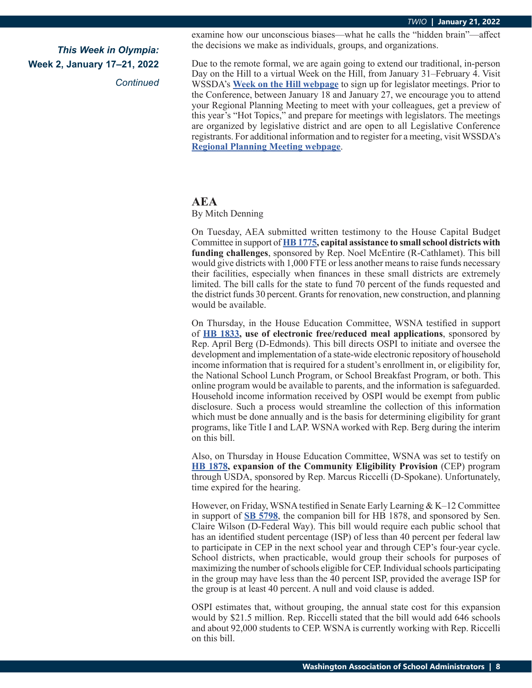*Continued*

examine how our unconscious biases—what he calls the "hidden brain"—affect the decisions we make as individuals, groups, and organizations.

Due to the remote formal, we are again going to extend our traditional, in-person Day on the Hill to a virtual Week on the Hill, from January 31–February 4. Visit WSSDA's **[Week on the Hill webpage](https://www.wssda.org/events/legislative-conference/week-on-the-hill-legislator-meetings/)** to sign up for legislator meetings. Prior to the Conference, between January 18 and January 27, we encourage you to attend your Regional Planning Meeting to meet with your colleagues, get a preview of this year's "Hot Topics," and prepare for meetings with legislators. The meetings are organized by legislative district and are open to all Legislative Conference registrants. For additional information and to register for a meeting, visit WSSDA's **[Regional Planning Meeting webpage](https://www.wssda.org/events/legislative-conference/get-ready-for-week-on-the-hill/)**.

### **AEA**

By Mitch Denning

On Tuesday, AEA submitted written testimony to the House Capital Budget Committee in support of **[HB 1775](https://app.leg.wa.gov/billsummary?BillNumber=1775&Initiative=false&Year=2021), capital assistance to small school districts with funding challenges**, sponsored by Rep. Noel McEntire (R-Cathlamet). This bill would give districts with 1,000 FTE or less another means to raise funds necessary their facilities, especially when finances in these small districts are extremely limited. The bill calls for the state to fund 70 percent of the funds requested and the district funds 30 percent. Grants for renovation, new construction, and planning would be available.

On Thursday, in the House Education Committee, WSNA testified in support of **[HB 1833](https://app.leg.wa.gov/billsummary?BillNumber=1833&Initiative=false&Year=2021), use of electronic free/reduced meal applications**, sponsored by Rep. April Berg (D-Edmonds). This bill directs OSPI to initiate and oversee the development and implementation of a state-wide electronic repository of household income information that is required for a student's enrollment in, or eligibility for, the National School Lunch Program, or School Breakfast Program, or both. This online program would be available to parents, and the information is safeguarded. Household income information received by OSPI would be exempt from public disclosure. Such a process would streamline the collection of this information which must be done annually and is the basis for determining eligibility for grant programs, like Title I and LAP. WSNA worked with Rep. Berg during the interim on this bill.

Also, on Thursday in House Education Committee, WSNA was set to testify on **[HB 1878](https://app.leg.wa.gov/billsummary?BillNumber=1878&Initiative=false&Year=2021), expansion of the Community Eligibility Provision** (CEP) program through USDA, sponsored by Rep. Marcus Riccelli (D-Spokane). Unfortunately, time expired for the hearing.

However, on Friday, WSNA testified in Senate Early Learning & K–12 Committee in support of **[SB 5798](https://app.leg.wa.gov/billsummary?BillNumber=5798&Initiative=false&Year=2021)**, the companion bill for HB 1878, and sponsored by Sen. Claire Wilson (D-Federal Way). This bill would require each public school that has an identified student percentage (ISP) of less than 40 percent per federal law to participate in CEP in the next school year and through CEP's four-year cycle. School districts, when practicable, would group their schools for purposes of maximizing the number of schools eligible for CEP. Individual schools participating in the group may have less than the 40 percent ISP, provided the average ISP for the group is at least 40 percent. A null and void clause is added.

OSPI estimates that, without grouping, the annual state cost for this expansion would by \$21.5 million. Rep. Riccelli stated that the bill would add 646 schools and about 92,000 students to CEP. WSNA is currently working with Rep. Riccelli on this bill.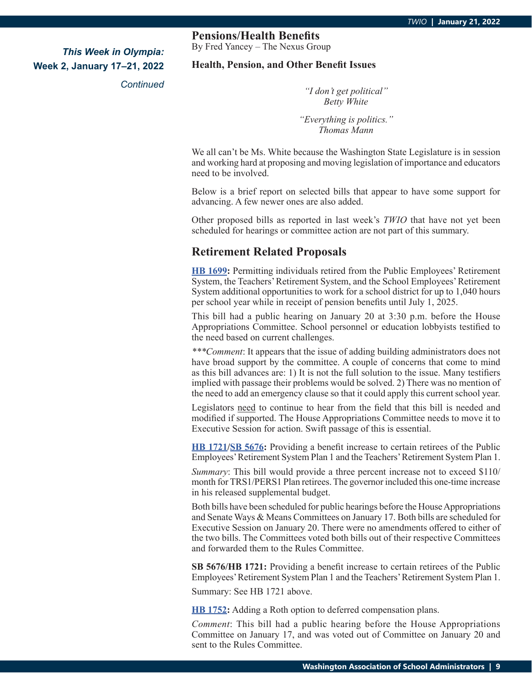*Continued*

## **Pensions/Health Benefits**

By Fred Yancey – The Nexus Group

### **Health, Pension, and Other Benefit Issues**

*"I don't get political" Betty White*

*"Everything is politics." Thomas Mann*

We all can't be Ms. White because the Washington State Legislature is in session and working hard at proposing and moving legislation of importance and educators need to be involved.

Below is a brief report on selected bills that appear to have some support for advancing. A few newer ones are also added.

Other proposed bills as reported in last week's *TWIO* that have not yet been scheduled for hearings or committee action are not part of this summary.

## **Retirement Related Proposals**

**[HB 1699](https://app.leg.wa.gov/billsummary?BillNumber=1699&Initiative=false&Year=2021):** Permitting individuals retired from the Public Employees' Retirement System, the Teachers' Retirement System, and the School Employees' Retirement System additional opportunities to work for a school district for up to 1,040 hours per school year while in receipt of pension benefits until July 1, 2025.

This bill had a public hearing on January 20 at 3:30 p.m. before the House Appropriations Committee. School personnel or education lobbyists testified to the need based on current challenges.

*\*\*\*Comment*: It appears that the issue of adding building administrators does not have broad support by the committee. A couple of concerns that come to mind as this bill advances are: 1) It is not the full solution to the issue. Many testifiers implied with passage their problems would be solved. 2) There was no mention of the need to add an emergency clause so that it could apply this current school year.

Legislators need to continue to hear from the field that this bill is needed and modified if supported. The House Appropriations Committee needs to move it to Executive Session for action. Swift passage of this is essential.

**[HB 1721/](https://app.leg.wa.gov/billsummary?BillNumber=1721&Initiative=false&Year=2021)[SB 5676:](https://app.leg.wa.gov/billsummary?BillNumber=5676&Initiative=false&Year=2021)** Providing a benefit increase to certain retirees of the Public Employees' Retirement System Plan 1 and the Teachers' Retirement System Plan 1.

*Summary*: This bill would provide a three percent increase not to exceed \$110/ month for TRS1/PERS1 Plan retirees. The governor included this one-time increase in his released supplemental budget.

Both bills have been scheduled for public hearings before the House Appropriations and Senate Ways & Means Committees on January 17. Both bills are scheduled for Executive Session on January 20. There were no amendments offered to either of the two bills. The Committees voted both bills out of their respective Committees and forwarded them to the Rules Committee.

**SB 5676/HB 1721:** Providing a benefit increase to certain retirees of the Public Employees' Retirement System Plan 1 and the Teachers' Retirement System Plan 1.

Summary: See HB 1721 above.

**[HB 1752](https://app.leg.wa.gov/billsummary?BillNumber=1752&Initiative=false&Year=2021):** Adding a Roth option to deferred compensation plans.

*Comment*: This bill had a public hearing before the House Appropriations Committee on January 17, and was voted out of Committee on January 20 and sent to the Rules Committee.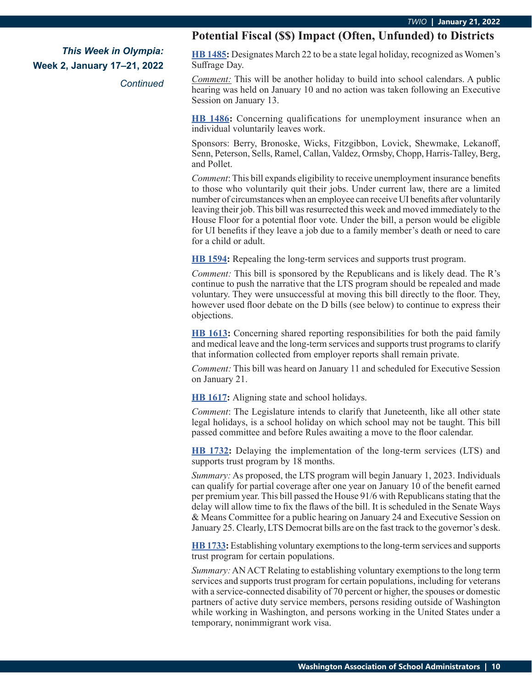*Continued*

## **Potential Fiscal (\$\$) Impact (Often, Unfunded) to Districts**

**[HB 1485:](https://app.leg.wa.gov/billsummary?BillNumber=1485&Initiative=false&Year=2021)** Designates March 22 to be a state legal holiday, recognized as Women's Suffrage Day.

*Comment:* This will be another holiday to build into school calendars. A public hearing was held on January 10 and no action was taken following an Executive Session on January 13.

**[HB 1486](https://app.leg.wa.gov/billsummary?BillNumber=1486&Initiative=false&Year=2021):** Concerning qualifications for unemployment insurance when an individual voluntarily leaves work.

Sponsors: Berry, Bronoske, Wicks, Fitzgibbon, Lovick, Shewmake, Lekanoff, Senn, Peterson, Sells, Ramel, Callan, Valdez, Ormsby, Chopp, Harris-Talley, Berg, and Pollet.

*Comment*: This bill expands eligibility to receive unemployment insurance benefits to those who voluntarily quit their jobs. Under current law, there are a limited number of circumstances when an employee can receive UI benefits after voluntarily leaving their job. This bill was resurrected this week and moved immediately to the House Floor for a potential floor vote. Under the bill, a person would be eligible for UI benefits if they leave a job due to a family member's death or need to care for a child or adult.

**[HB 1594](https://app.leg.wa.gov/billsummary?BillNumber=1594&Initiative=false&Year=2021):** Repealing the long-term services and supports trust program.

*Comment:* This bill is sponsored by the Republicans and is likely dead. The R's continue to push the narrative that the LTS program should be repealed and made voluntary. They were unsuccessful at moving this bill directly to the floor. They, however used floor debate on the D bills (see below) to continue to express their objections.

**[HB 1613:](https://app.leg.wa.gov/billsummary?BillNumber=1613&Initiative=false&Year=2021)** Concerning shared reporting responsibilities for both the paid family and medical leave and the long-term services and supports trust programs to clarify that information collected from employer reports shall remain private.

*Comment:* This bill was heard on January 11 and scheduled for Executive Session on January 21.

**[HB 1617](https://app.leg.wa.gov/billsummary?BillNumber=1617&Initiative=false&Year=2021):** Aligning state and school holidays.

*Comment*: The Legislature intends to clarify that Juneteenth, like all other state legal holidays, is a school holiday on which school may not be taught. This bill passed committee and before Rules awaiting a move to the floor calendar.

**[HB 1732](https://app.leg.wa.gov/billsummary?BillNumber=1732&Initiative=false&Year=2021):** Delaying the implementation of the long-term services (LTS) and supports trust program by 18 months.

*Summary:* As proposed, the LTS program will begin January 1, 2023. Individuals can qualify for partial coverage after one year on January 10 of the benefit earned per premium year. This bill passed the House 91/6 with Republicans stating that the delay will allow time to fix the flaws of the bill. It is scheduled in the Senate Ways & Means Committee for a public hearing on January 24 and Executive Session on January 25. Clearly, LTS Democrat bills are on the fast track to the governor's desk.

**[HB 1733:](https://app.leg.wa.gov/billsummary?BillNumber=1733&Initiative=false&Year=2021)** Establishing voluntary exemptions to the long-term services and supports trust program for certain populations.

*Summary:* AN ACT Relating to establishing voluntary exemptions to the long term services and supports trust program for certain populations, including for veterans with a service-connected disability of 70 percent or higher, the spouses or domestic partners of active duty service members, persons residing outside of Washington while working in Washington, and persons working in the United States under a temporary, nonimmigrant work visa.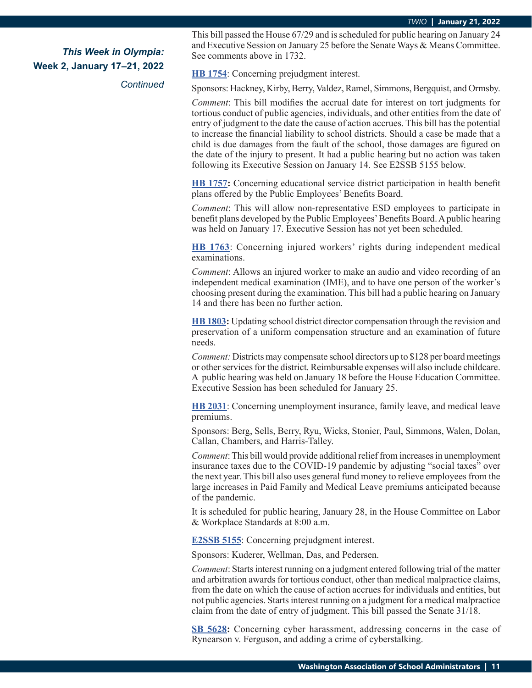*Continued*

This bill passed the House 67/29 and is scheduled for public hearing on January 24 and Executive Session on January 25 before the Senate Ways & Means Committee. See comments above in 1732.

**[HB 1754](https://app.leg.wa.gov/billsummary?BillNumber=1754&Initiative=false&Year=2021)**: Concerning prejudgment interest.

Sponsors: Hackney, Kirby, Berry, Valdez, Ramel, Simmons, Bergquist, and Ormsby.

*Comment*: This bill modifies the accrual date for interest on tort judgments for tortious conduct of public agencies, individuals, and other entities from the date of entry of judgment to the date the cause of action accrues. This bill has the potential to increase the financial liability to school districts. Should a case be made that a child is due damages from the fault of the school, those damages are figured on the date of the injury to present. It had a public hearing but no action was taken following its Executive Session on January 14. See E2SSB 5155 below.

**[HB 1757:](https://app.leg.wa.gov/billsummary?BillNumber=1757&Initiative=false&Year=2021)** Concerning educational service district participation in health benefit plans offered by the Public Employees' Benefits Board.

*Comment*: This will allow non-representative ESD employees to participate in benefit plans developed by the Public Employees' Benefits Board. A public hearing was held on January 17. Executive Session has not yet been scheduled.

**[HB 1763](https://app.leg.wa.gov/billsummary?BillNumber=1763&Initiative=false&Year=2021)**: Concerning injured workers' rights during independent medical examinations.

*Comment*: Allows an injured worker to make an audio and video recording of an independent medical examination (IME), and to have one person of the worker's choosing present during the examination. This bill had a public hearing on January 14 and there has been no further action.

**[HB 1803:](https://app.leg.wa.gov/billsummary?BillNumber=1803&Initiative=false&Year=2021)** Updating school district director compensation through the revision and preservation of a uniform compensation structure and an examination of future needs.

*Comment:* Districts may compensate school directors up to \$128 per board meetings or other services for the district. Reimbursable expenses will also include childcare. A public hearing was held on January 18 before the House Education Committee. Executive Session has been scheduled for January 25.

**[HB 2031](https://app.leg.wa.gov/billsummary?BillNumber=2031&Initiative=false&Year=2021)**: Concerning unemployment insurance, family leave, and medical leave premiums.

Sponsors: Berg, Sells, Berry, Ryu, Wicks, Stonier, Paul, Simmons, Walen, Dolan, Callan, Chambers, and Harris-Talley.

*Comment*: This bill would provide additional relief from increases in unemployment insurance taxes due to the COVID-19 pandemic by adjusting "social taxes" over the next year. This bill also uses general fund money to relieve employees from the large increases in Paid Family and Medical Leave premiums anticipated because of the pandemic.

It is scheduled for public hearing, January 28, in the House Committee on Labor & Workplace Standards at 8:00 a.m.

**[E2SSB 5155](https://app.leg.wa.gov/billsummary?BillNumber=5155&Initiative=false&Year=2021)**: Concerning prejudgment interest.

Sponsors: Kuderer, Wellman, Das, and Pedersen.

*Comment*: Starts interest running on a judgment entered following trial of the matter and arbitration awards for tortious conduct, other than medical malpractice claims, from the date on which the cause of action accrues for individuals and entities, but not public agencies. Starts interest running on a judgment for a medical malpractice claim from the date of entry of judgment. This bill passed the Senate 31/18.

**[SB 5628](https://app.leg.wa.gov/billsummary?BillNumber=5628&Initiative=false&Year=2021):** Concerning cyber harassment, addressing concerns in the case of Rynearson v. Ferguson, and adding a crime of cyberstalking.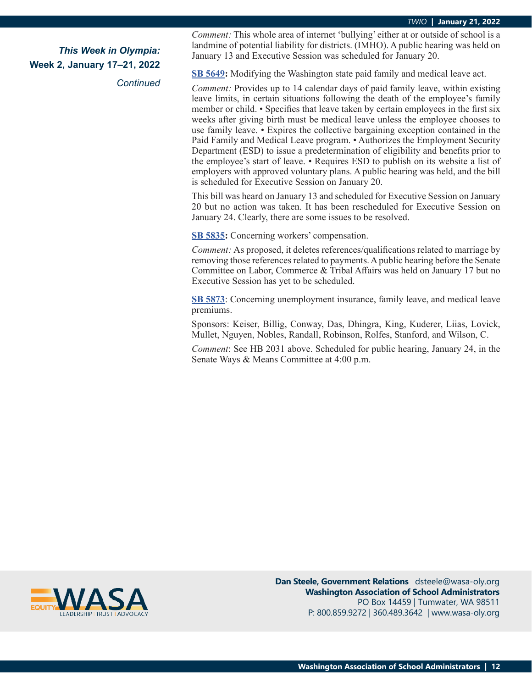*Continued*

*Comment:* This whole area of internet 'bullying' either at or outside of school is a landmine of potential liability for districts. (IMHO). A public hearing was held on January 13 and Executive Session was scheduled for January 20.

**[SB 5649:](https://app.leg.wa.gov/billsummary?BillNumber=5649&Initiative=false&Year=2021)** Modifying the Washington state paid family and medical leave act.

*Comment:* Provides up to 14 calendar days of paid family leave, within existing leave limits, in certain situations following the death of the employee's family member or child. • Specifies that leave taken by certain employees in the first six weeks after giving birth must be medical leave unless the employee chooses to use family leave. • Expires the collective bargaining exception contained in the Paid Family and Medical Leave program. • Authorizes the Employment Security Department (ESD) to issue a predetermination of eligibility and benefits prior to the employee's start of leave. • Requires ESD to publish on its website a list of employers with approved voluntary plans. A public hearing was held, and the bill is scheduled for Executive Session on January 20.

This bill was heard on January 13 and scheduled for Executive Session on January 20 but no action was taken. It has been rescheduled for Executive Session on January 24. Clearly, there are some issues to be resolved.

**[SB 5835:](https://app.leg.wa.gov/billsummary?BillNumber=5835&Initiative=false&Year=2021)** Concerning workers' compensation.

*Comment:* As proposed, it deletes references/qualifications related to marriage by removing those references related to payments. A public hearing before the Senate Committee on Labor, Commerce & Tribal Affairs was held on January 17 but no Executive Session has yet to be scheduled.

**[SB 5873](https://app.leg.wa.gov/billsummary?BillNumber=5873&Initiative=false&Year=2021)**: Concerning unemployment insurance, family leave, and medical leave premiums.

Sponsors: Keiser, Billig, Conway, Das, Dhingra, King, Kuderer, Liias, Lovick, Mullet, Nguyen, Nobles, Randall, Robinson, Rolfes, Stanford, and Wilson, C.

*Comment*: See HB 2031 above. Scheduled for public hearing, January 24, in the Senate Ways & Means Committee at 4:00 p.m.



**Dan Steele, Government Relations** dsteele@wasa-oly.org **Washington Association of School Administrators** PO Box 14459 | Tumwater, WA 98511 P: 800.859.9272 | 360.489.3642 | www.wasa-oly.org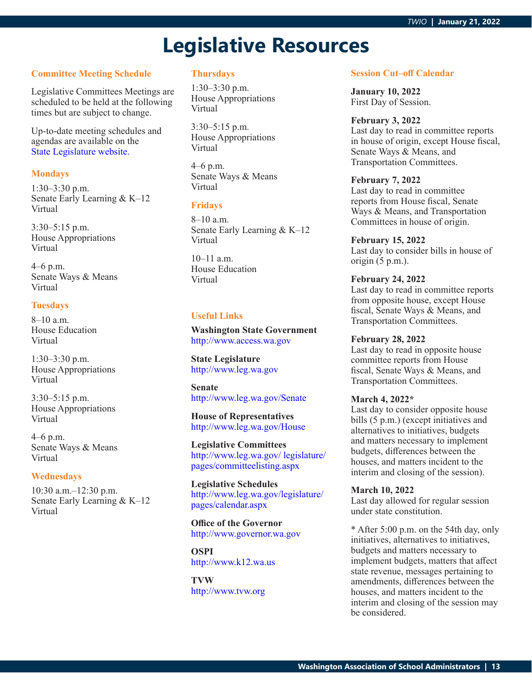# **Legislative Resources**

### **Committee Meeting Schedule**

Legislative Committees Meetings are scheduled to be held at the following times but are subject to change.

Up-to-date meeting schedules and agendas are available on the [State Legislature website.](http://www.leg.wa.gov/legislature/pages/calendar.aspx)

### **Mondays**

1:30–3:30 p.m. Senate Early Learning & K–12 Virtual

3:30–5:15 p.m. House Appropriations Virtual

4–6 p.m. Senate Ways & Means Virtual

### **Tuesdays**

8–10 a.m. House Education Virtual

1:30–3:30 p.m. House Appropriations Virtual

3:30–5:15 p.m. House Appropriations Virtual

4–6 p.m. Senate Ways & Means Virtual

### **Wednesdays**

10:30 a.m.–12:30 p.m. Senate Early Learning & K–12 Virtual

### **Thursdays**

1:30–3:30 p.m. House Appropriations Virtual

3:30–5:15 p.m. House Appropriations Virtual

4–6 p.m. Senate Ways & Means Virtual

### **Fridays**

8–10 a.m. Senate Early Learning & K–12 Virtual

10–11 a.m. House Education Virtual

### **Useful Links**

**Washington State Government** <http://www.access.wa.gov>

**State Legislature** <http://www.leg.wa.gov>

**Senate** <http://www.leg.wa.gov/Senate>

**House of Representatives** <http://www.leg.wa.gov/House>

**Legislative Committees** [http://www.leg.wa.gov/ legislature/](http://www.leg.wa.gov/ legislature/pages/committeelisting.aspx) [pages/committeelisting.aspx](http://www.leg.wa.gov/ legislature/pages/committeelisting.aspx)

**Legislative Schedules** [http://www.leg.wa.gov/legislature/](http://www.leg.wa.gov/legislature/pages/calendar.aspx) [pages/calendar.aspx](http://www.leg.wa.gov/legislature/pages/calendar.aspx)

**Office of the Governor** <http://www.governor.wa.gov>

**OSPI** <http://www.k12.wa.us>

**TVW** <http://www.tvw.org>

### **Session Cut–off Calendar**

**January 10, 2022** First Day of Session.

#### **February 3, 2022**

Last day to read in committee reports in house of origin, except House fiscal, Senate Ways & Means, and Transportation Committees.

### **February 7, 2022**

Last day to read in committee reports from House fiscal, Senate Ways & Means, and Transportation Committees in house of origin.

## **February 15, 2022**

Last day to consider bills in house of origin (5 p.m.).

### **February 24, 2022**

Last day to read in committee reports from opposite house, except House fiscal, Senate Ways & Means, and Transportation Committees.

### **February 28, 2022**

Last day to read in opposite house committee reports from House fiscal, Senate Ways & Means, and Transportation Committees.

### **March 4, 2022\***

Last day to consider opposite house bills (5 p.m.) (except initiatives and alternatives to initiatives, budgets and matters necessary to implement budgets, differences between the houses, and matters incident to the interim and closing of the session).

### **March 10, 2022**

Last day allowed for regular session under state constitution.

\* After 5:00 p.m. on the 54th day, only initiatives, alternatives to initiatives, budgets and matters necessary to implement budgets, matters that affect state revenue, messages pertaining to amendments, differences between the houses, and matters incident to the interim and closing of the session may be considered.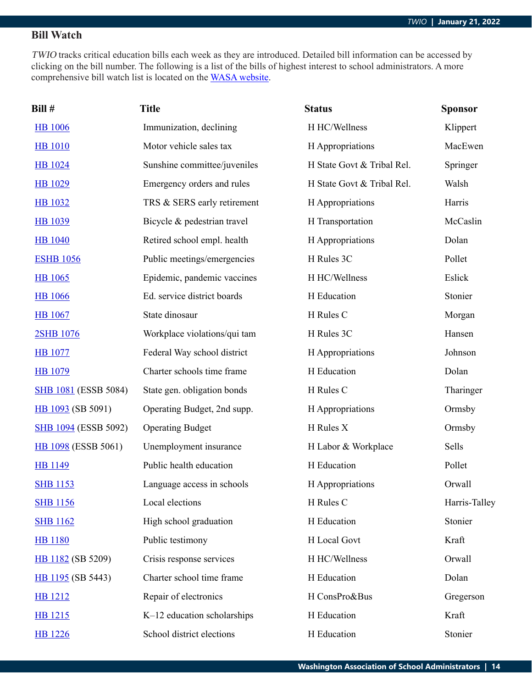# **Bill Watch**

TWIO tracks critical education bills each week as they are introduced. Detailed bill information can be accessed by clicking on the bill number. The following is a list of the bills of highest interest to school administrators. A more comprehensive bill watch list is located on the [WASA website](http://wasa-oly.org/wasa/WASA/Government_Relations/Action_Center/2019_WASA_Bill_Watch/WASA/4_0_Government_Relations/Materials/Bill_Watch/Bill_Watch.aspx?hkey=eee1bb39-a099-43b7-8a1b-1262f2966f1a).

| Bill #                      | <b>Title</b>                 | <b>Status</b>              | <b>Sponsor</b> |
|-----------------------------|------------------------------|----------------------------|----------------|
| <b>HB</b> 1006              | Immunization, declining      | H HC/Wellness              | Klippert       |
| <b>HB</b> 1010              | Motor vehicle sales tax      | H Appropriations           | MacEwen        |
| HB 1024                     | Sunshine committee/juveniles | H State Govt & Tribal Rel. | Springer       |
| <b>HB</b> 1029              | Emergency orders and rules   | H State Govt & Tribal Rel. | Walsh          |
| <b>HB</b> 1032              | TRS & SERS early retirement  | H Appropriations           | Harris         |
| <b>HB</b> 1039              | Bicycle & pedestrian travel  | H Transportation           | McCaslin       |
| <b>HB</b> 1040              | Retired school empl. health  | H Appropriations           | Dolan          |
| <b>ESHB 1056</b>            | Public meetings/emergencies  | H Rules 3C                 | Pollet         |
| <b>HB</b> 1065              | Epidemic, pandemic vaccines  | H HC/Wellness              | Eslick         |
| <b>HB</b> 1066              | Ed. service district boards  | H Education                | Stonier        |
| <b>HB</b> 1067              | State dinosaur               | H Rules C                  | Morgan         |
| 2SHB 1076                   | Workplace violations/qui tam | H Rules 3C                 | Hansen         |
| <b>HB</b> 1077              | Federal Way school district  | H Appropriations           | Johnson        |
| <b>HB</b> 1079              | Charter schools time frame   | H Education                | Dolan          |
| <b>SHB 1081</b> (ESSB 5084) | State gen. obligation bonds  | H Rules C                  | Tharinger      |
| HB 1093 (SB 5091)           | Operating Budget, 2nd supp.  | H Appropriations           | Ormsby         |
| <b>SHB 1094</b> (ESSB 5092) | <b>Operating Budget</b>      | H Rules X                  | Ormsby         |
| HB 1098 (ESSB 5061)         | Unemployment insurance       | H Labor & Workplace        | Sells          |
| <b>HB</b> 1149              | Public health education      | H Education                | Pollet         |
| <b>SHB</b> 1153             | Language access in schools   | H Appropriations           | Orwall         |
| <b>SHB 1156</b>             | Local elections              | H Rules C                  | Harris-Talley  |
| <b>SHB 1162</b>             | High school graduation       | H Education                | Stonier        |
| <b>HB</b> 1180              | Public testimony             | H Local Govt               | Kraft          |
| HB 1182 (SB 5209)           | Crisis response services     | H HC/Wellness              | Orwall         |
| HB 1195 (SB 5443)           | Charter school time frame    | H Education                | Dolan          |
| <b>HB</b> 1212              | Repair of electronics        | H ConsPro&Bus              | Gregerson      |
| HB 1215                     | K-12 education scholarships  | H Education                | Kraft          |
| <b>HB</b> 1226              | School district elections    | H Education                | Stonier        |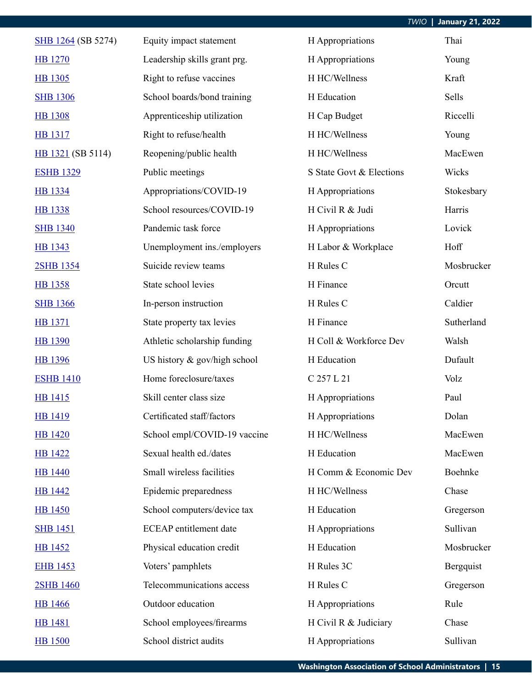| SHB 1264 (SB 5274) | Equity impact statement       | H Appropriations         | Thai       |
|--------------------|-------------------------------|--------------------------|------------|
| <b>HB</b> 1270     | Leadership skills grant prg.  | H Appropriations         | Young      |
| HB 1305            | Right to refuse vaccines      | H HC/Wellness            | Kraft      |
| <b>SHB 1306</b>    | School boards/bond training   | H Education              | Sells      |
| <b>HB</b> 1308     | Apprenticeship utilization    | H Cap Budget             | Riccelli   |
| <b>HB</b> 1317     | Right to refuse/health        | H HC/Wellness            | Young      |
| HB 1321 (SB 5114)  | Reopening/public health       | H HC/Wellness            | MacEwen    |
| <b>ESHB 1329</b>   | Public meetings               | S State Govt & Elections | Wicks      |
| HB 1334            | Appropriations/COVID-19       | H Appropriations         | Stokesbary |
| <b>HB</b> 1338     | School resources/COVID-19     | H Civil R & Judi         | Harris     |
| <b>SHB 1340</b>    | Pandemic task force           | H Appropriations         | Lovick     |
| HB 1343            | Unemployment ins./employers   | H Labor & Workplace      | Hoff       |
| 2SHB 1354          | Suicide review teams          | H Rules C                | Mosbrucker |
| HB 1358            | State school levies           | H Finance                | Orcutt     |
| <b>SHB 1366</b>    | In-person instruction         | H Rules C                | Caldier    |
| <b>HB</b> 1371     | State property tax levies     | H Finance                | Sutherland |
| <b>HB 1390</b>     | Athletic scholarship funding  | H Coll & Workforce Dev   | Walsh      |
| HB 1396            | US history & gov/high school  | H Education              | Dufault    |
| <b>ESHB 1410</b>   | Home foreclosure/taxes        | C 257 L 21               | Volz       |
| <b>HB</b> 1415     | Skill center class size       | H Appropriations         | Paul       |
| <b>HB</b> 1419     | Certificated staff/factors    | H Appropriations         | Dolan      |
| <b>HB</b> 1420     | School empl/COVID-19 vaccine  | H HC/Wellness            | MacEwen    |
| <b>HB</b> 1422     | Sexual health ed./dates       | H Education              | MacEwen    |
| <b>HB</b> 1440     | Small wireless facilities     | H Comm & Economic Dev    | Boehnke    |
| <b>HB</b> 1442     | Epidemic preparedness         | H HC/Wellness            | Chase      |
| <b>HB</b> 1450     | School computers/device tax   | H Education              | Gregerson  |
| <b>SHB 1451</b>    | <b>ECEAP</b> entitlement date | H Appropriations         | Sullivan   |
| <b>HB</b> 1452     | Physical education credit     | H Education              | Mosbrucker |
| <b>EHB 1453</b>    | Voters' pamphlets             | H Rules 3C               | Bergquist  |
| 2SHB 1460          | Telecommunications access     | H Rules C                | Gregerson  |
| <b>HB</b> 1466     | Outdoor education             | H Appropriations         | Rule       |
| <b>HB</b> 1481     | School employees/firearms     | H Civil R & Judiciary    | Chase      |
| <b>HB</b> 1500     | School district audits        | H Appropriations         | Sullivan   |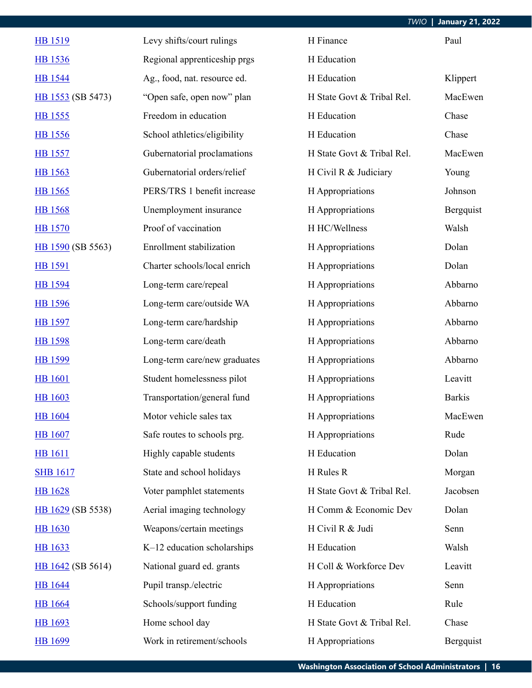| <b>HB</b> 1519    | Levy shifts/court rulings    | H Finance                  | Paul          |
|-------------------|------------------------------|----------------------------|---------------|
| HB 1536           | Regional apprenticeship prgs | H Education                |               |
| <b>HB</b> 1544    | Ag., food, nat. resource ed. | H Education                | Klippert      |
| HB 1553 (SB 5473) | "Open safe, open now" plan   | H State Govt & Tribal Rel. | MacEwen       |
| HB 1555           | Freedom in education         | H Education                | Chase         |
| <b>HB</b> 1556    | School athletics/eligibility | H Education                | Chase         |
| HB 1557           | Gubernatorial proclamations  | H State Govt & Tribal Rel. | MacEwen       |
| HB 1563           | Gubernatorial orders/relief  | H Civil R & Judiciary      | Young         |
| HB 1565           | PERS/TRS 1 benefit increase  | H Appropriations           | Johnson       |
| <b>HB</b> 1568    | Unemployment insurance       | H Appropriations           | Bergquist     |
| <b>HB</b> 1570    | Proof of vaccination         | H HC/Wellness              | Walsh         |
| HB 1590 (SB 5563) | Enrollment stabilization     | H Appropriations           | Dolan         |
| HB 1591           | Charter schools/local enrich | H Appropriations           | Dolan         |
| HB 1594           | Long-term care/repeal        | H Appropriations           | Abbarno       |
| <b>HB</b> 1596    | Long-term care/outside WA    | H Appropriations           | Abbarno       |
| <b>HB</b> 1597    | Long-term care/hardship      | H Appropriations           | Abbarno       |
| HB 1598           | Long-term care/death         | H Appropriations           | Abbarno       |
| HB 1599           | Long-term care/new graduates | H Appropriations           | Abbarno       |
| <b>HB</b> 1601    | Student homelessness pilot   | H Appropriations           | Leavitt       |
| <b>HB</b> 1603    | Transportation/general fund  | H Appropriations           | <b>Barkis</b> |
| <b>HB</b> 1604    | Motor vehicle sales tax      | H Appropriations           | MacEwen       |
| <b>HB</b> 1607    | Safe routes to schools prg.  | H Appropriations           | Rude          |
| <b>HB</b> 1611    | Highly capable students      | H Education                | Dolan         |
| <b>SHB 1617</b>   | State and school holidays    | H Rules R                  | Morgan        |
| <b>HB</b> 1628    | Voter pamphlet statements    | H State Govt & Tribal Rel. | Jacobsen      |
| HB 1629 (SB 5538) | Aerial imaging technology    | H Comm & Economic Dev      | Dolan         |
| <b>HB</b> 1630    | Weapons/certain meetings     | H Civil R & Judi           | Senn          |
| HB 1633           | K-12 education scholarships  | H Education                | Walsh         |
| HB 1642 (SB 5614) | National guard ed. grants    | H Coll & Workforce Dev     | Leavitt       |
| <b>HB</b> 1644    | Pupil transp./electric       | H Appropriations           | Senn          |
| <b>HB</b> 1664    | Schools/support funding      | H Education                | Rule          |
| <b>HB</b> 1693    | Home school day              | H State Govt & Tribal Rel. | Chase         |
| <b>HB</b> 1699    | Work in retirement/schools   | H Appropriations           | Bergquist     |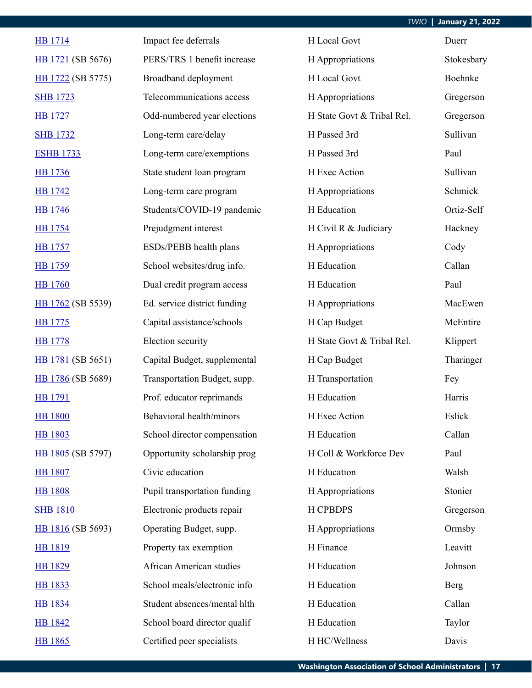| <b>HB</b> 1714    | Impact fee deferrals         | H Local Govt               | Duerr      |
|-------------------|------------------------------|----------------------------|------------|
| HB 1721 (SB 5676) | PERS/TRS 1 benefit increase  | H Appropriations           | Stokesbary |
| HB 1722 (SB 5775) | Broadband deployment         | H Local Govt               | Boehnke    |
| <b>SHB 1723</b>   | Telecommunications access    | H Appropriations           | Gregerson  |
| <b>HB</b> 1727    | Odd-numbered year elections  | H State Govt & Tribal Rel. | Gregerson  |
| <b>SHB 1732</b>   | Long-term care/delay         | H Passed 3rd               | Sullivan   |
| <b>ESHB 1733</b>  | Long-term care/exemptions    | H Passed 3rd               | Paul       |
| HB 1736           | State student loan program   | H Exec Action              | Sullivan   |
| <b>HB</b> 1742    | Long-term care program       | H Appropriations           | Schmick    |
| <b>HB</b> 1746    | Students/COVID-19 pandemic   | H Education                | Ortiz-Self |
| <b>HB</b> 1754    | Prejudgment interest         | H Civil R & Judiciary      | Hackney    |
| <b>HB</b> 1757    | ESDs/PEBB health plans       | H Appropriations           | Cody       |
| <b>HB</b> 1759    | School websites/drug info.   | H Education                | Callan     |
| <b>HB</b> 1760    | Dual credit program access   | H Education                | Paul       |
| HB 1762 (SB 5539) | Ed. service district funding | H Appropriations           | MacEwen    |
| <b>HB</b> 1775    | Capital assistance/schools   | H Cap Budget               | McEntire   |
| <b>HB</b> 1778    | Election security            | H State Govt & Tribal Rel. | Klippert   |
| HB 1781 (SB 5651) | Capital Budget, supplemental | H Cap Budget               | Tharinger  |
| HB 1786 (SB 5689) | Transportation Budget, supp. | H Transportation           | Fey        |
| HB 1791           | Prof. educator reprimands    | H Education                | Harris     |
| <b>HB</b> 1800    | Behavioral health/minors     | H Exec Action              | Eslick     |
| <b>HB 1803</b>    | School director compensation | H Education                | Callan     |
| HB 1805 (SB 5797) | Opportunity scholarship prog | H Coll & Workforce Dev     | Paul       |
| <b>HB</b> 1807    | Civic education              | H Education                | Walsh      |
| <b>HB 1808</b>    | Pupil transportation funding | H Appropriations           | Stonier    |
| <b>SHB 1810</b>   | Electronic products repair   | <b>H CPBDPS</b>            | Gregerson  |
| HB 1816 (SB 5693) | Operating Budget, supp.      | H Appropriations           | Ormsby     |
| HB 1819           | Property tax exemption       | H Finance                  | Leavitt    |
| HB 1829           | African American studies     | H Education                | Johnson    |
| <b>HB</b> 1833    | School meals/electronic info | H Education                | Berg       |
| <b>HB</b> 1834    | Student absences/mental hlth | H Education                | Callan     |
| <b>HB 1842</b>    | School board director qualif | H Education                | Taylor     |
| HB 1865           | Certified peer specialists   | H HC/Wellness              | Davis      |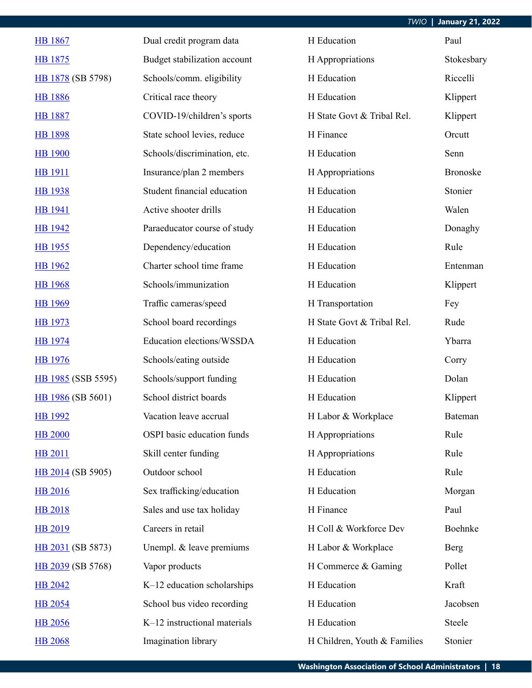| <b>HB</b> 1867     | Dual credit program data     | H Education                  | Paul            |
|--------------------|------------------------------|------------------------------|-----------------|
| HB 1875            | Budget stabilization account | H Appropriations             | Stokesbary      |
| HB 1878 (SB 5798)  | Schools/comm. eligibility    | H Education                  | Riccelli        |
| <b>HB</b> 1886     | Critical race theory         | H Education                  | Klippert        |
| <b>HB</b> 1887     | COVID-19/children's sports   | H State Govt & Tribal Rel.   | Klippert        |
| <b>HB 1898</b>     | State school levies, reduce  | H Finance                    | Orcutt          |
| <b>HB</b> 1900     | Schools/discrimination, etc. | H Education                  | Senn            |
| <b>HB</b> 1911     | Insurance/plan 2 members     | H Appropriations             | <b>Bronoske</b> |
| <b>HB</b> 1938     | Student financial education  | H Education                  | Stonier         |
| <b>HB</b> 1941     | Active shooter drills        | H Education                  | Walen           |
| <b>HB</b> 1942     | Paraeducator course of study | H Education                  | Donaghy         |
| HB 1955            | Dependency/education         | H Education                  | Rule            |
| <b>HB</b> 1962     | Charter school time frame    | H Education                  | Entenman        |
| <b>HB</b> 1968     | Schools/immunization         | H Education                  | Klippert        |
| <b>HB</b> 1969     | Traffic cameras/speed        | H Transportation             | Fey             |
| HB 1973            | School board recordings      | H State Govt & Tribal Rel.   | Rude            |
| <b>HB</b> 1974     | Education elections/WSSDA    | H Education                  | Ybarra          |
| <b>HB</b> 1976     | Schools/eating outside       | H Education                  | Corry           |
| HB 1985 (SSB 5595) | Schools/support funding      | H Education                  | Dolan           |
| HB 1986 (SB 5601)  | School district boards       | H Education                  | Klippert        |
| <b>HB</b> 1992     | Vacation leave accrual       | H Labor & Workplace          | Bateman         |
| <b>HB 2000</b>     | OSPI basic education funds   | H Appropriations             | Rule            |
| <b>HB 2011</b>     | Skill center funding         | H Appropriations             | Rule            |
| HB 2014 (SB 5905)  | Outdoor school               | H Education                  | Rule            |
| <b>HB</b> 2016     | Sex trafficking/education    | H Education                  | Morgan          |
| <b>HB 2018</b>     | Sales and use tax holiday    | H Finance                    | Paul            |
| <b>HB 2019</b>     | Careers in retail            | H Coll & Workforce Dev       | Boehnke         |
| HB 2031 (SB 5873)  | Unempl. & leave premiums     | H Labor & Workplace          | Berg            |
| HB 2039 (SB 5768)  | Vapor products               | H Commerce & Gaming          | Pollet          |
| <b>HB 2042</b>     | K-12 education scholarships  | H Education                  | Kraft           |
| <b>HB 2054</b>     | School bus video recording   | H Education                  | Jacobsen        |
| <b>HB 2056</b>     | K-12 instructional materials | H Education                  | Steele          |
| <b>HB 2068</b>     | Imagination library          | H Children, Youth & Families | Stonier         |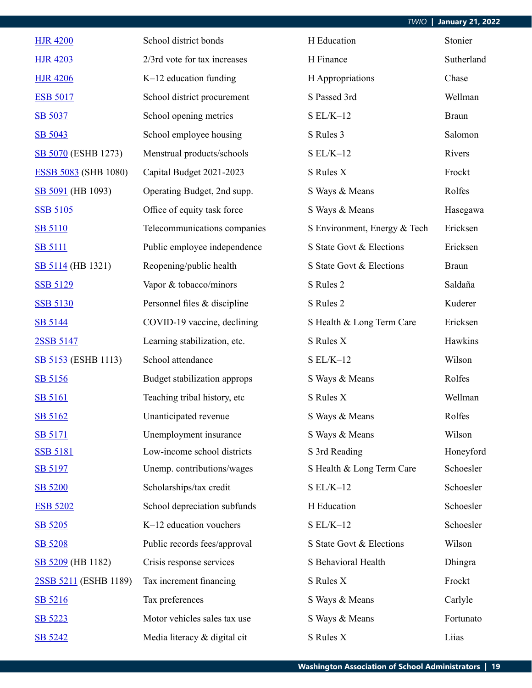| <b>HJR 4200</b>             | School district bonds        | H Education                  | Stonier      |
|-----------------------------|------------------------------|------------------------------|--------------|
| <b>HJR 4203</b>             | 2/3rd vote for tax increases | H Finance                    | Sutherland   |
| <b>HJR 4206</b>             | $K-12$ education funding     | H Appropriations             | Chase        |
| <b>ESB 5017</b>             | School district procurement  | S Passed 3rd                 | Wellman      |
| SB 5037                     | School opening metrics       | $S EL/K-12$                  | <b>Braun</b> |
| SB 5043                     | School employee housing      | S Rules 3                    | Salomon      |
| SB 5070 (ESHB 1273)         | Menstrual products/schools   | $S EL/K-12$                  | Rivers       |
| <b>ESSB 5083</b> (SHB 1080) | Capital Budget 2021-2023     | S Rules X                    | Frockt       |
| SB 5091 (HB 1093)           | Operating Budget, 2nd supp.  | S Ways & Means               | Rolfes       |
| <b>SSB 5105</b>             | Office of equity task force  | S Ways & Means               | Hasegawa     |
| <b>SB 5110</b>              | Telecommunications companies | S Environment, Energy & Tech | Ericksen     |
| <b>SB 5111</b>              | Public employee independence | S State Govt & Elections     | Ericksen     |
| SB 5114 (HB 1321)           | Reopening/public health      | S State Govt & Elections     | <b>Braun</b> |
| <b>SSB 5129</b>             | Vapor & tobacco/minors       | S Rules 2                    | Saldaña      |
| <b>SSB 5130</b>             | Personnel files & discipline | S Rules 2                    | Kuderer      |
| SB 5144                     | COVID-19 vaccine, declining  | S Health & Long Term Care    | Ericksen     |
| 2SSB 5147                   | Learning stabilization, etc. | S Rules X                    | Hawkins      |
| SB 5153 (ESHB 1113)         | School attendance            | $S EL/K-12$                  | Wilson       |
| SB 5156                     | Budget stabilization approps | S Ways & Means               | Rolfes       |
| <b>SB 5161</b>              | Teaching tribal history, etc | S Rules X                    | Wellman      |
| SB 5162                     | Unanticipated revenue        | S Ways & Means               | Rolfes       |
| <b>SB 5171</b>              | Unemployment insurance       | S Ways & Means               | Wilson       |
| <b>SSB 5181</b>             | Low-income school districts  | S 3rd Reading                | Honeyford    |
| SB 5197                     | Unemp. contributions/wages   | S Health & Long Term Care    | Schoesler    |
| SB 5200                     | Scholarships/tax credit      | $SL/K-12$                    | Schoesler    |
| <b>ESB 5202</b>             | School depreciation subfunds | H Education                  | Schoesler    |
| SB 5205                     | K-12 education vouchers      | $S EL/K-12$                  | Schoesler    |
| SB 5208                     | Public records fees/approval | S State Govt & Elections     | Wilson       |
| SB 5209 (HB 1182)           | Crisis response services     | S Behavioral Health          | Dhingra      |
| 2SSB 5211 (ESHB 1189)       | Tax increment financing      | S Rules X                    | Frockt       |
| SB 5216                     | Tax preferences              | S Ways & Means               | Carlyle      |
| SB 5223                     | Motor vehicles sales tax use | S Ways & Means               | Fortunato    |
| SB 5242                     | Media literacy & digital cit | S Rules X                    | Liias        |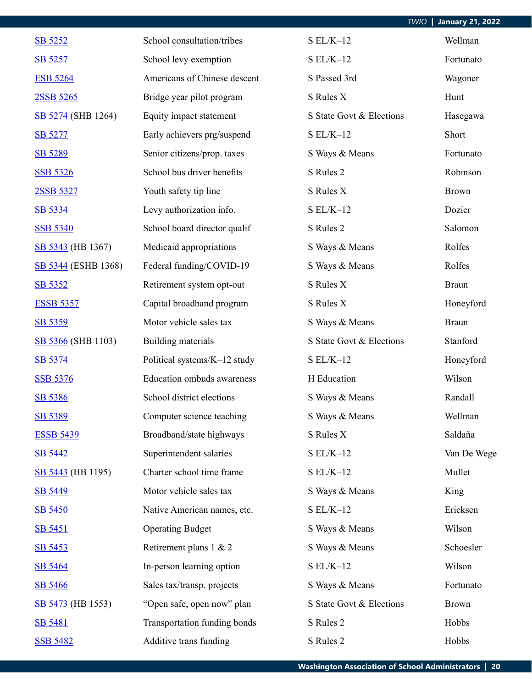| SB 5252             | School consultation/tribes   | $S EL/K-12$              | Wellman      |
|---------------------|------------------------------|--------------------------|--------------|
| SB 5257             | School levy exemption        | $SL/K-12$                | Fortunato    |
| <b>ESB 5264</b>     | Americans of Chinese descent | S Passed 3rd             | Wagoner      |
| 2SSB 5265           | Bridge year pilot program    | S Rules X                | Hunt         |
| SB 5274 (SHB 1264)  | Equity impact statement      | S State Govt & Elections | Hasegawa     |
| SB 5277             | Early achievers prg/suspend  | $S EL/K-12$              | Short        |
| SB 5289             | Senior citizens/prop. taxes  | S Ways & Means           | Fortunato    |
| <b>SSB 5326</b>     | School bus driver benefits   | S Rules 2                | Robinson     |
| 2SSB 5327           | Youth safety tip line        | S Rules X                | <b>Brown</b> |
| SB 5334             | Levy authorization info.     | $S EL/K-12$              | Dozier       |
| <b>SSB 5340</b>     | School board director qualif | S Rules 2                | Salomon      |
| SB 5343 (HB 1367)   | Medicaid appropriations      | S Ways & Means           | Rolfes       |
| SB 5344 (ESHB 1368) | Federal funding/COVID-19     | S Ways & Means           | Rolfes       |
| SB 5352             | Retirement system opt-out    | S Rules X                | <b>Braun</b> |
| <b>ESSB 5357</b>    | Capital broadband program    | S Rules X                | Honeyford    |
| SB 5359             | Motor vehicle sales tax      | S Ways & Means           | <b>Braun</b> |
| SB 5366 (SHB 1103)  | Building materials           | S State Govt & Elections | Stanford     |
| SB 5374             | Political systems/K-12 study | $S EL/K-12$              | Honeyford    |
| <b>SSB 5376</b>     | Education ombuds awareness   | H Education              | Wilson       |
| SB 5386             | School district elections    | S Ways & Means           | Randall      |
| SB 5389             | Computer science teaching    | S Ways & Means           | Wellman      |
| <b>ESSB 5439</b>    | Broadband/state highways     | S Rules X                | Saldaña      |
| SB 5442             | Superintendent salaries      | $SL/K-12$                | Van De Wege  |
| SB 5443 (HB 1195)   | Charter school time frame    | $S EL/K-12$              | Mullet       |
| SB 5449             | Motor vehicle sales tax      | S Ways & Means           | King         |
| SB 5450             | Native American names, etc.  | $S EL/K-12$              | Ericksen     |
| SB 5451             | <b>Operating Budget</b>      | S Ways & Means           | Wilson       |
| SB 5453             | Retirement plans 1 & 2       | S Ways & Means           | Schoesler    |
| SB 5464             | In-person learning option    | $S EL/K-12$              | Wilson       |
| SB 5466             | Sales tax/transp. projects   | S Ways & Means           | Fortunato    |
| SB 5473 (HB 1553)   | "Open safe, open now" plan   | S State Govt & Elections | <b>Brown</b> |
| SB 5481             | Transportation funding bonds | S Rules 2                | Hobbs        |
| <b>SSB 5482</b>     | Additive trans funding       | S Rules 2                | Hobbs        |

*TWIO* **| January 21, 2022**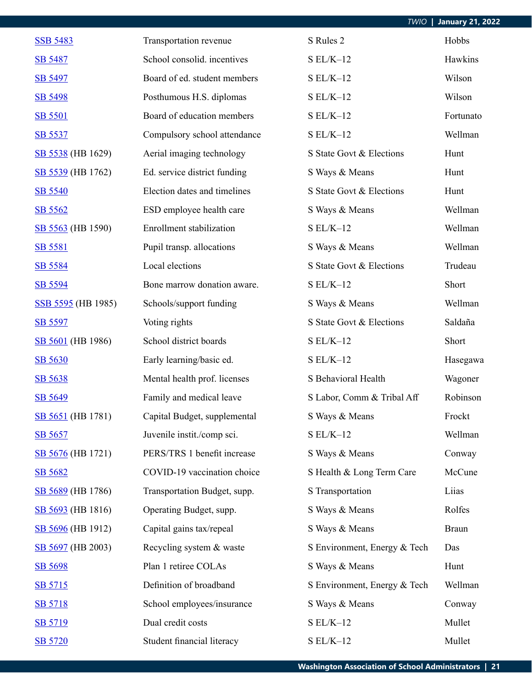| <b>TWIO</b>   January 21, 2022 |  |
|--------------------------------|--|

| <b>SSB 5483</b>    | Transportation revenue       | S Rules 2                    | Hobbs        |
|--------------------|------------------------------|------------------------------|--------------|
| SB 5487            | School consolid. incentives  | $SL/K-12$                    | Hawkins      |
| SB 5497            | Board of ed. student members | $S EL/K-12$                  | Wilson       |
| SB 5498            | Posthumous H.S. diplomas     | $S EL/K-12$                  | Wilson       |
| <b>SB 5501</b>     | Board of education members   | $S EL/K-12$                  | Fortunato    |
| SB 5537            | Compulsory school attendance | $S EL/K-12$                  | Wellman      |
| SB 5538 (HB 1629)  | Aerial imaging technology    | S State Govt & Elections     | Hunt         |
| SB 5539 (HB 1762)  | Ed. service district funding | S Ways & Means               | Hunt         |
| SB 5540            | Election dates and timelines | S State Govt & Elections     | Hunt         |
| SB 5562            | ESD employee health care     | S Ways & Means               | Wellman      |
| SB 5563 (HB 1590)  | Enrollment stabilization     | $S EL/K-12$                  | Wellman      |
| SB 5581            | Pupil transp. allocations    | S Ways & Means               | Wellman      |
| SB 5584            | Local elections              | S State Govt & Elections     | Trudeau      |
| SB 5594            | Bone marrow donation aware.  | $S EL/K-12$                  | Short        |
| SSB 5595 (HB 1985) | Schools/support funding      | S Ways & Means               | Wellman      |
| SB 5597            | Voting rights                | S State Govt & Elections     | Saldaña      |
| SB 5601 (HB 1986)  | School district boards       | $S EL/K-12$                  | Short        |
| SB 5630            | Early learning/basic ed.     | $S EL/K-12$                  | Hasegawa     |
| SB 5638            | Mental health prof. licenses | S Behavioral Health          | Wagoner      |
| SB 5649            | Family and medical leave     | S Labor, Comm & Tribal Aff   | Robinson     |
| SB 5651 (HB 1781)  | Capital Budget, supplemental | S Ways & Means               | Frockt       |
| SB 5657            | Juvenile instit./comp sci.   | $S EL/K-12$                  | Wellman      |
| SB 5676 (HB 1721)  | PERS/TRS 1 benefit increase  | S Ways & Means               | Conway       |
| SB 5682            | COVID-19 vaccination choice  | S Health & Long Term Care    | McCune       |
| SB 5689 (HB 1786)  | Transportation Budget, supp. | S Transportation             | Liias        |
| SB 5693 (HB 1816)  | Operating Budget, supp.      | S Ways & Means               | Rolfes       |
| SB 5696 (HB 1912)  | Capital gains tax/repeal     | S Ways & Means               | <b>Braun</b> |
| SB 5697 (HB 2003)  | Recycling system & waste     | S Environment, Energy & Tech | Das          |
| SB 5698            | Plan 1 retiree COLAs         | S Ways & Means               | Hunt         |
| SB 5715            | Definition of broadband      | S Environment, Energy & Tech | Wellman      |
| SB 5718            | School employees/insurance   | S Ways & Means               | Conway       |
| SB 5719            | Dual credit costs            | $SL/K-12$                    | Mullet       |
| SB 5720            | Student financial literacy   | $S EL/K-12$                  | Mullet       |